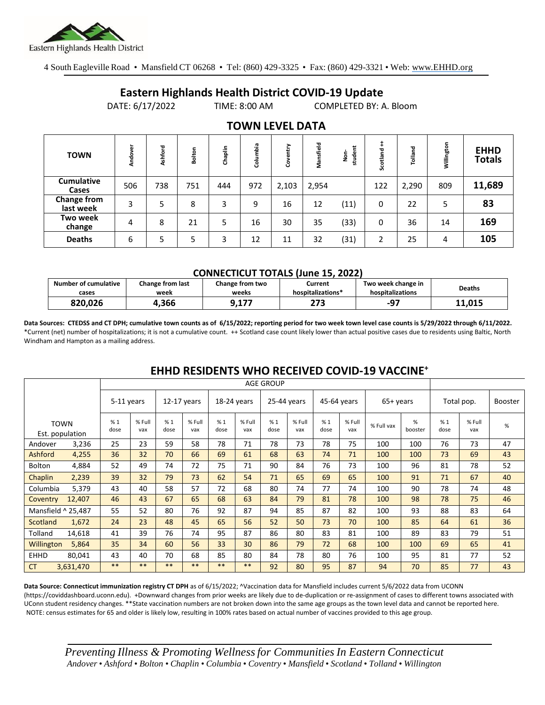

4 South Eagleville Road • Mansfield CT 06268 • Tel: (860) 429-3325 • Fax: (860) 429-3321 • Web: www.EHHD.org

## **Eastern Highlands Health District COVID-19 Update**

DATE: 6/17/2022 TIME: 8:00 AM COMPLETED BY: A. Bloom

| . <del>.</del> <i>. .</i>       |         |         |        |         |          |            |           |              |          |         |            |                              |
|---------------------------------|---------|---------|--------|---------|----------|------------|-----------|--------------|----------|---------|------------|------------------------------|
| <b>TOWN</b>                     | Andover | Ashford | Bolton | Chaplin | Columbia | entry<br>Š | Mansfield | student<br>å | Scotland | Tolland | Willington | <b>EHHD</b><br><b>Totals</b> |
| <b>Cumulative</b><br>Cases      | 506     | 738     | 751    | 444     | 972      | 2,103      | 2,954     |              | 122      | 2,290   | 809        | 11,689                       |
| <b>Change from</b><br>last week | 3       | 5       | 8      | 3       | 9        | 16         | 12        | (11)         | 0        | 22      | 5          | 83                           |
| Two week<br>change              | 4       | 8       | 21     | 5       | 16       | 30         | 35        | (33)         | 0        | 36      | 14         | 169                          |
| <b>Deaths</b>                   | 6       | 5       | 5      | 3       | 12       | 11         | 32        | (31)         | 2        | 25      | 4          | 105                          |

### **TOWN LEVEL DATA**

#### **CONNECTICUT TOTALS (June 15, 2022)**

| Number of cumulative | Change from last | Change from two | Current           | Two week change in | <b>Deaths</b> |  |
|----------------------|------------------|-----------------|-------------------|--------------------|---------------|--|
| cases                | week             | weeks           | hospitalizations* | hospitalizations   |               |  |
| 820.026              | .366،            | n 177<br>J.LI 1 | 273               | -97                | 11.015        |  |

**Data Sources: CTEDSS and CT DPH; cumulative town counts as of 6/15/2022; reporting period for two week town level case counts is 5/29/2022 through 6/11/2022.** \*Current (net) number of hospitalizations; it is not a cumulative count. ++ Scotland case count likely lower than actual positive cases due to residents using Baltic, North Windham and Hampton as a mailing address.

|                    |                                | <b>AGE GROUP</b> |               |             |               |             |               |             |               |             |               |            |              |            |               |                |
|--------------------|--------------------------------|------------------|---------------|-------------|---------------|-------------|---------------|-------------|---------------|-------------|---------------|------------|--------------|------------|---------------|----------------|
|                    |                                | 5-11 years       |               | 12-17 years |               | 18-24 years |               | 25-44 years |               | 45-64 years |               | 65+ years  |              | Total pop. |               | <b>Booster</b> |
|                    | <b>TOWN</b><br>Est. population | %1<br>dose       | % Full<br>vax | %1<br>dose  | % Full<br>vax | %1<br>dose  | % Full<br>vax | %1<br>dose  | % Full<br>vax | %1<br>dose  | % Full<br>vax | % Full vax | %<br>booster | %1<br>dose | % Full<br>vax | $\%$           |
| Andover            | 3,236                          | 25               | 23            | 59          | 58            | 78          | 71            | 78          | 73            | 78          | 75            | 100        | 100          | 76         | 73            | 47             |
| Ashford            | 4,255                          | 36               | 32            | 70          | 66            | 69          | 61            | 68          | 63            | 74          | 71            | 100        | 100          | 73         | 69            | 43             |
| <b>Bolton</b>      | 4,884                          | 52               | 49            | 74          | 72            | 75          | 71            | 90          | 84            | 76          | 73            | 100        | 96           | 81         | 78            | 52             |
| Chaplin            | 2,239                          | 39               | 32            | 79          | 73            | 62          | 54            | 71          | 65            | 69          | 65            | 100        | 91           | 71         | 67            | 40             |
| Columbia           | 5,379                          | 43               | 40            | 58          | 57            | 72          | 68            | 80          | 74            | 77          | 74            | 100        | 90           | 78         | 74            | 48             |
| Coventry           | 12,407                         | 46               | 43            | 67          | 65            | 68          | 63            | 84          | 79            | 81          | 78            | 100        | 98           | 78         | 75            | 46             |
| Mansfield ^ 25.487 |                                | 55               | 52            | 80          | 76            | 92          | 87            | 94          | 85            | 87          | 82            | 100        | 93           | 88         | 83            | 64             |
| Scotland           | 1,672                          | 24               | 23            | 48          | 45            | 65          | 56            | 52          | 50            | 73          | 70            | 100        | 85           | 64         | 61            | 36             |
| Tolland            | 14,618                         | 41               | 39            | 76          | 74            | 95          | 87            | 86          | 80            | 83          | 81            | 100        | 89           | 83         | 79            | 51             |
| Willington         | 5,864                          | 35               | 34            | 60          | 56            | 33          | 30            | 86          | 79            | 72          | 68            | 100        | 100          | 69         | 65            | 41             |
| <b>EHHD</b>        | 80.041                         | 43               | 40            | 70          | 68            | 85          | 80            | 84          | 78            | 80          | 76            | 100        | 95           | 81         | 77            | 52             |
| <b>CT</b>          | 3,631,470                      | $***$            | $***$         | $***$       | $***$         | $***$       | **            | 92          | 80            | 95          | 87            | 94         | 70           | 85         | 77            | 43             |

### **EHHD RESIDENTS WHO RECEIVED COVID-19 VACCINE<sup>+</sup>**

**Data Source: Connecticut immunization registry CT DPH** as of 6/15/2022; ^Vaccination data for Mansfield includes current 5/6/2022 data from UCONN (https://coviddashboard.uconn.edu). +Downward changes from prior weeks are likely due to de-duplication or re-assignment of cases to different towns associated with UConn student residency changes. \*\*State vaccination numbers are not broken down into the same age groups as the town level data and cannot be reported here. NOTE: census estimates for 65 and older is likely low, resulting in 100% rates based on actual number of vaccines provided to this age group.

*Preventing Illness & Promoting Wellnessfor Communities In Eastern Connecticut* Andover • Ashford • Bolton • Chaplin • Columbia • Coventry • Mansfield • Scotland • Tolland • Willington